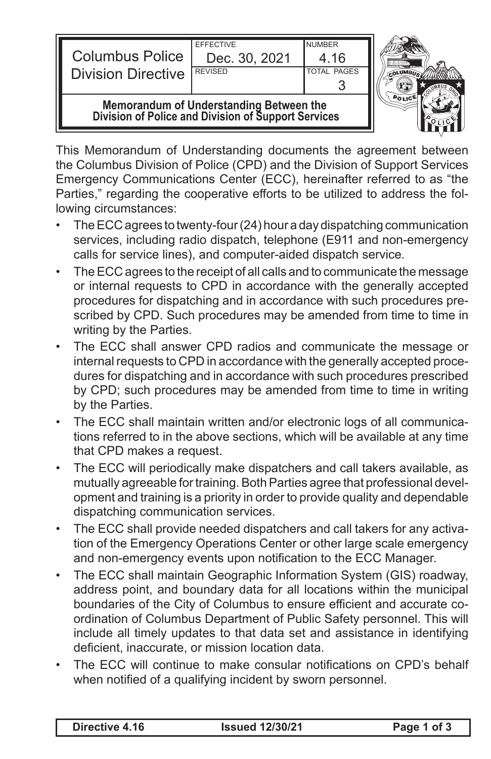| <b>Columbus Police</b><br><b>Division Directive</b>                                            | <b>EFFECTIVE</b><br>Dec. 30, 2021<br><b>REVISED</b> | <b>NUMBER</b><br>4.16<br><b>TOTAL PAGES</b> |  |
|------------------------------------------------------------------------------------------------|-----------------------------------------------------|---------------------------------------------|--|
| Memorandum of Understanding Between the<br>Division of Police and Division of Support Services |                                                     |                                             |  |

This Memorandum of Understanding documents the agreement between the Columbus Division of Police (CPD) and the Division of Support Services Emergency Communications Center (ECC), hereinafter referred to as "the Parties," regarding the cooperative efforts to be utilized to address the following circumstances:

- The ECC agrees to twenty-four (24) hour a day dispatching communication services, including radio dispatch, telephone (E911 and non-emergency calls for service lines), and computer-aided dispatch service.
- The ECC agrees to the receipt of all calls and to communicate the message or internal requests to CPD in accordance with the generally accepted procedures for dispatching and in accordance with such procedures prescribed by CPD. Such procedures may be amended from time to time in writing by the Parties.
- The ECC shall answer CPD radios and communicate the message or internal requests to CPD in accordance with the generally accepted procedures for dispatching and in accordance with such procedures prescribed by CPD; such procedures may be amended from time to time in writing by the Parties.
- The ECC shall maintain written and/or electronic logs of all communications referred to in the above sections, which will be available at any time that CPD makes a request.
- The ECC will periodically make dispatchers and call takers available, as mutually agreeable for training. Both Parties agree that professional development and training is a priority in order to provide quality and dependable dispatching communication services.
- The ECC shall provide needed dispatchers and call takers for any activation of the Emergency Operations Center or other large scale emergency and non-emergency events upon notification to the ECC Manager.
- The ECC shall maintain Geographic Information System (GIS) roadway, address point, and boundary data for all locations within the municipal boundaries of the City of Columbus to ensure efficient and accurate coordination of Columbus Department of Public Safety personnel. This will include all timely updates to that data set and assistance in identifying deficient, inaccurate, or mission location data.
- The ECC will continue to make consular notifications on CPD's behalf when notified of a qualifying incident by sworn personnel.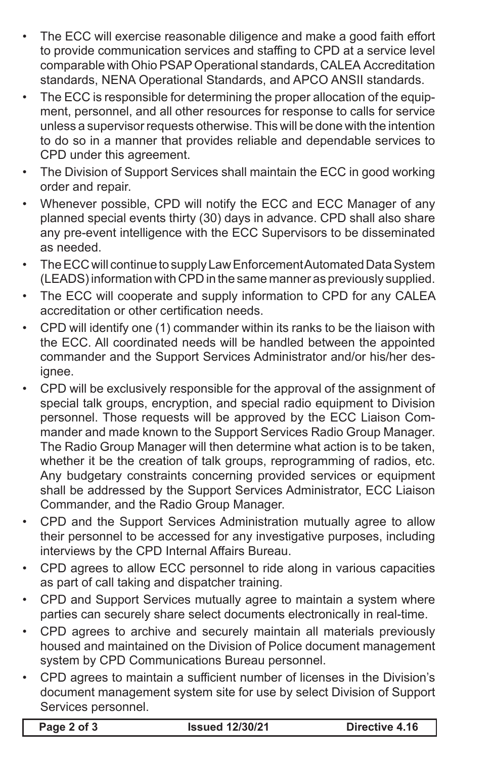- The ECC will exercise reasonable diligence and make a good faith effort to provide communication services and staffing to CPD at a service level comparable with Ohio PSAP Operational standards, CALEA Accreditation standards, NENA Operational Standards, and APCO ANSII standards.
- The ECC is responsible for determining the proper allocation of the equipment, personnel, and all other resources for response to calls for service unless a supervisor requests otherwise. This will be done with the intention to do so in a manner that provides reliable and dependable services to CPD under this agreement.
- The Division of Support Services shall maintain the ECC in good working order and repair.
- Whenever possible, CPD will notify the ECC and ECC Manager of any planned special events thirty (30) days in advance. CPD shall also share any pre-event intelligence with the ECC Supervisors to be disseminated as needed.
- The ECC will continue to supply Law Enforcement Automated Data System (LEADS) information with CPD in the same manner as previously supplied.
- The ECC will cooperate and supply information to CPD for any CALEA accreditation or other certification needs.
- CPD will identify one (1) commander within its ranks to be the liaison with the ECC. All coordinated needs will be handled between the appointed commander and the Support Services Administrator and/or his/her designee.
- CPD will be exclusively responsible for the approval of the assignment of special talk groups, encryption, and special radio equipment to Division personnel. Those requests will be approved by the ECC Liaison Commander and made known to the Support Services Radio Group Manager. The Radio Group Manager will then determine what action is to be taken, whether it be the creation of talk groups, reprogramming of radios, etc. Any budgetary constraints concerning provided services or equipment shall be addressed by the Support Services Administrator, ECC Liaison Commander, and the Radio Group Manager.
- CPD and the Support Services Administration mutually agree to allow their personnel to be accessed for any investigative purposes, including interviews by the CPD Internal Affairs Bureau.
- CPD agrees to allow ECC personnel to ride along in various capacities as part of call taking and dispatcher training.
- CPD and Support Services mutually agree to maintain a system where parties can securely share select documents electronically in real-time.
- CPD agrees to archive and securely maintain all materials previously housed and maintained on the Division of Police document management system by CPD Communications Bureau personnel.
- CPD agrees to maintain a sufficient number of licenses in the Division's document management system site for use by select Division of Support Services personnel.